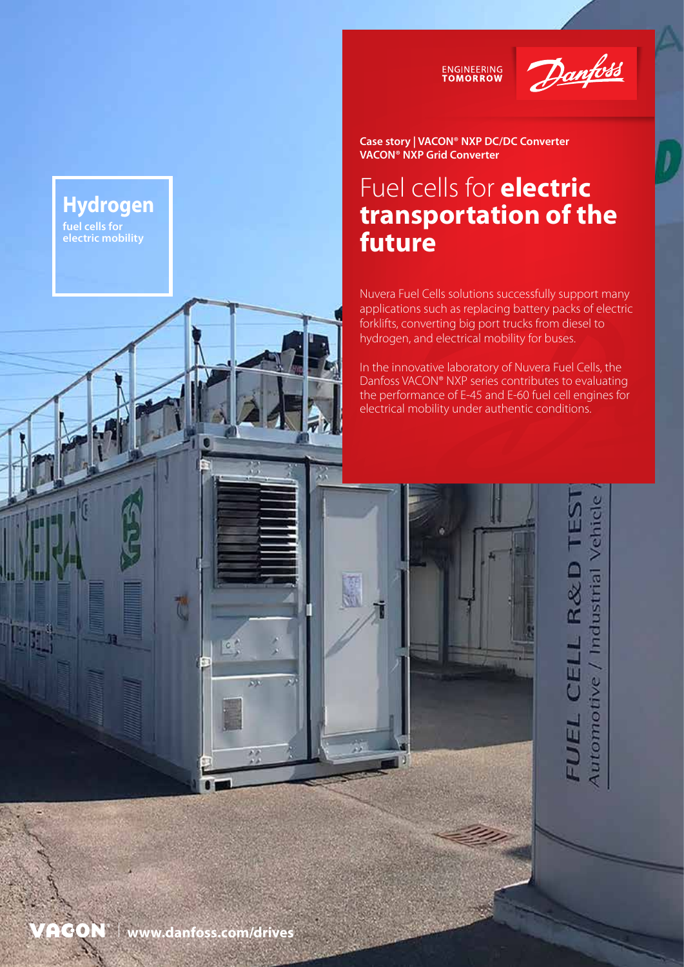



**Case story | VACON® NXP DC/DC Converter VACON® NXP Grid Converter**

### Fuel cells for **electric transportation of the future**

Nuvera Fuel Cells solutions successfully support many applications such as replacing battery packs of electric forklifts, converting big port trucks from diesel to hydrogen, and electrical mobility for buses.

In the innovative laboratory of Nuvera Fuel Cells, the Danfoss VACON® NXP series contributes to evaluating the performance of E-45 and E-60 fuel cell engines for electrical mobility under authentic conditions.

> / Industrial Vehicle  $R & D$ FUEL CELI Automotive

 $\overline{\mathcal{E}}$ 

**Hydrogen**

**fuel cells for electric mobility**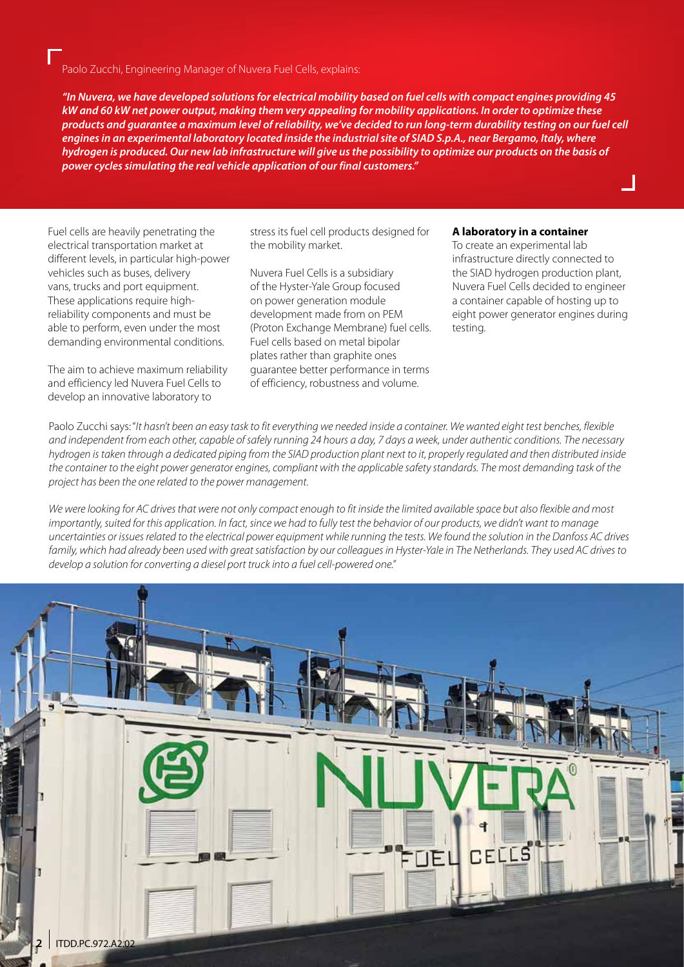Paolo Zucchi, Engineering Manager of Nuvera Fuel Cells, explains:

*"In Nuvera, we have developed solutions for electrical mobility based on fuel cells with compact engines providing 45 kW and 60 kW net power output, making them very appealing for mobility applications. In order to optimize these products and guarantee a maximum level of reliability, we've decided to run long-term durability testing on our fuel cell engines in an experimental laboratory located inside the industrial site of SIAD S.p.A., near Bergamo, Italy, where hydrogen is produced. Our new lab infrastructure will give us the possibility to optimize our products on the basis of power cycles simulating the real vehicle application of our final customers."*

Fuel cells are heavily penetrating the electrical transportation market at different levels, in particular high-power vehicles such as buses, delivery vans, trucks and port equipment. These applications require highreliability components and must be able to perform, even under the most demanding environmental conditions.

The aim to achieve maximum reliability and efficiency led Nuvera Fuel Cells to develop an innovative laboratory to

stress its fuel cell products designed for the mobility market.

Nuvera Fuel Cells is a subsidiary of the Hyster-Yale Group focused on power generation module development made from on PEM (Proton Exchange Membrane) fuel cells. Fuel cells based on metal bipolar plates rather than graphite ones guarantee better performance in terms of efficiency, robustness and volume.

#### **A laboratory in a container**

To create an experimental lab infrastructure directly connected to the SIAD hydrogen production plant, Nuvera Fuel Cells decided to engineer a container capable of hosting up to eight power generator engines during testing.

Paolo Zucchi says: "*It hasn't been an easy task to fit everything we needed inside a container. We wanted eight test benches, flexible and independent from each other, capable of safely running 24 hours a day, 7 days a week, under authentic conditions. The necessary hydrogen is taken through a dedicated piping from the SIAD production plant next to it, properly regulated and then distributed inside the container to the eight power generator engines, compliant with the applicable safety standards. The most demanding task of the project has been the one related to the power management.* 

*We were looking for AC drives that were not only compact enough to fit inside the limited available space but also flexible and most importantly, suited for this application. In fact, since we had to fully test the behavior of our products, we didn't want to manage uncertainties or issues related to the electrical power equipment while running the tests. We found the solution in the Danfoss AC drives family, which had already been used with great satisfaction by our colleagues in Hyster-Yale in The Netherlands. They used AC drives to develop a solution for converting a diesel port truck into a fuel cell-powered one."*

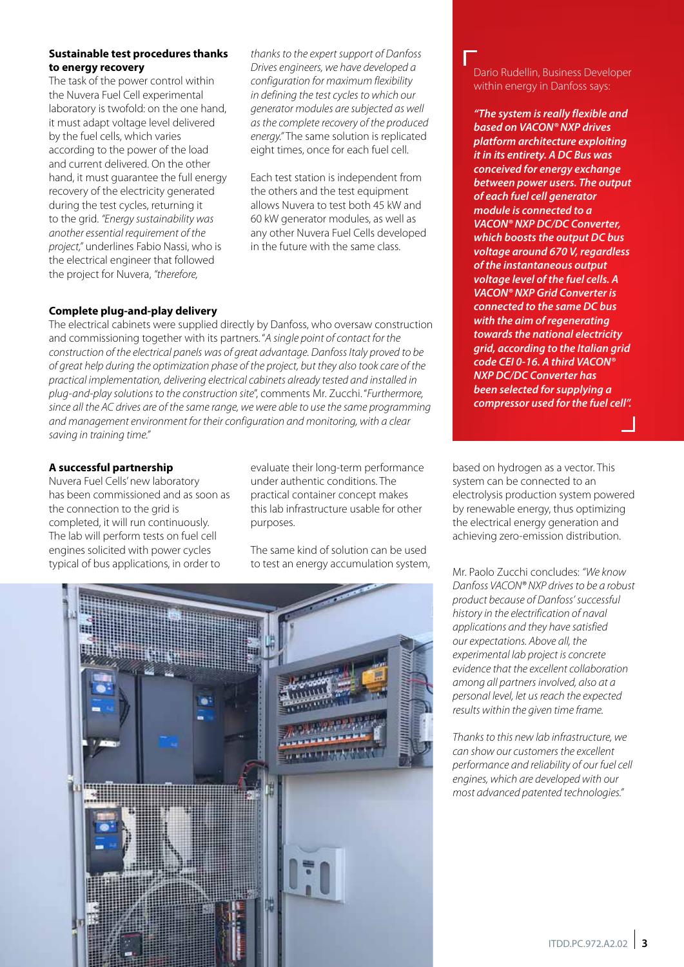#### **Sustainable test procedures thanks to energy recovery**

The task of the power control within the Nuvera Fuel Cell experimental laboratory is twofold: on the one hand, it must adapt voltage level delivered by the fuel cells, which varies according to the power of the load and current delivered. On the other hand, it must guarantee the full energy recovery of the electricity generated during the test cycles, returning it to the grid. *"Energy sustainability was another essential requirement of the project,"* underlines Fabio Nassi, who is the electrical engineer that followed the project for Nuvera, *"therefore,* 

*thanks to the expert support of Danfoss Drives engineers, we have developed a configuration for maximum flexibility in defining the test cycles to which our generator modules are subjected as well as the complete recovery of the produced energy."* The same solution is replicated eight times, once for each fuel cell.

Each test station is independent from the others and the test equipment allows Nuvera to test both 45 kW and 60 kW generator modules, as well as any other Nuvera Fuel Cells developed in the future with the same class.

#### **Complete plug-and-play delivery**

The electrical cabinets were supplied directly by Danfoss, who oversaw construction and commissioning together with its partners. "*A single point of contact for the construction of the electrical panels was of great advantage. Danfoss Italy proved to be of great help during the optimization phase of the project, but they also took care of the practical implementation, delivering electrical cabinets already tested and installed in plug-and-play solutions to the construction site*", comments Mr. Zucchi. "*Furthermore, since all the AC drives are of the same range, we were able to use the same programming and management environment for their configuration and monitoring, with a clear saving in training time."*

#### **A successful partnership**

Nuvera Fuel Cells' new laboratory has been commissioned and as soon as the connection to the grid is completed, it will run continuously. The lab will perform tests on fuel cell engines solicited with power cycles typical of bus applications, in order to

evaluate their long-term performance under authentic conditions. The practical container concept makes this lab infrastructure usable for other purposes.

The same kind of solution can be used to test an energy accumulation system, Mr. Paolo Zucchi concludes: *"We know* 



Dario Rudellin, Business Developer within energy in Danfoss says:

*"The system is really flexible and based on VACON® NXP drives platform architecture exploiting it in its entirety. A DC Bus was conceived for energy exchange between power users. The output of each fuel cell generator module is connected to a VACON® NXP DC/DC Converter, which boosts the output DC bus voltage around 670 V, regardless of the instantaneous output voltage level of the fuel cells. A VACON® NXP Grid Converter is connected to the same DC bus with the aim of regenerating towards the national electricity grid, according to the Italian grid code CEI 0-16. A third VACON® NXP DC/DC Converter has been selected for supplying a compressor used for the fuel cell".*

based on hydrogen as a vector. This system can be connected to an electrolysis production system powered by renewable energy, thus optimizing the electrical energy generation and achieving zero-emission distribution.

*Danfoss VACON® NXP drives to be a robust product because of Danfoss' successful history in the electrification of naval applications and they have satisfied our expectations. Above all, the experimental lab project is concrete evidence that the excellent collaboration among all partners involved, also at a personal level, let us reach the expected results within the given time frame.* 

*Thanks to this new lab infrastructure, we can show our customers the excellent performance and reliability of our fuel cell engines, which are developed with our most advanced patented technologies."*